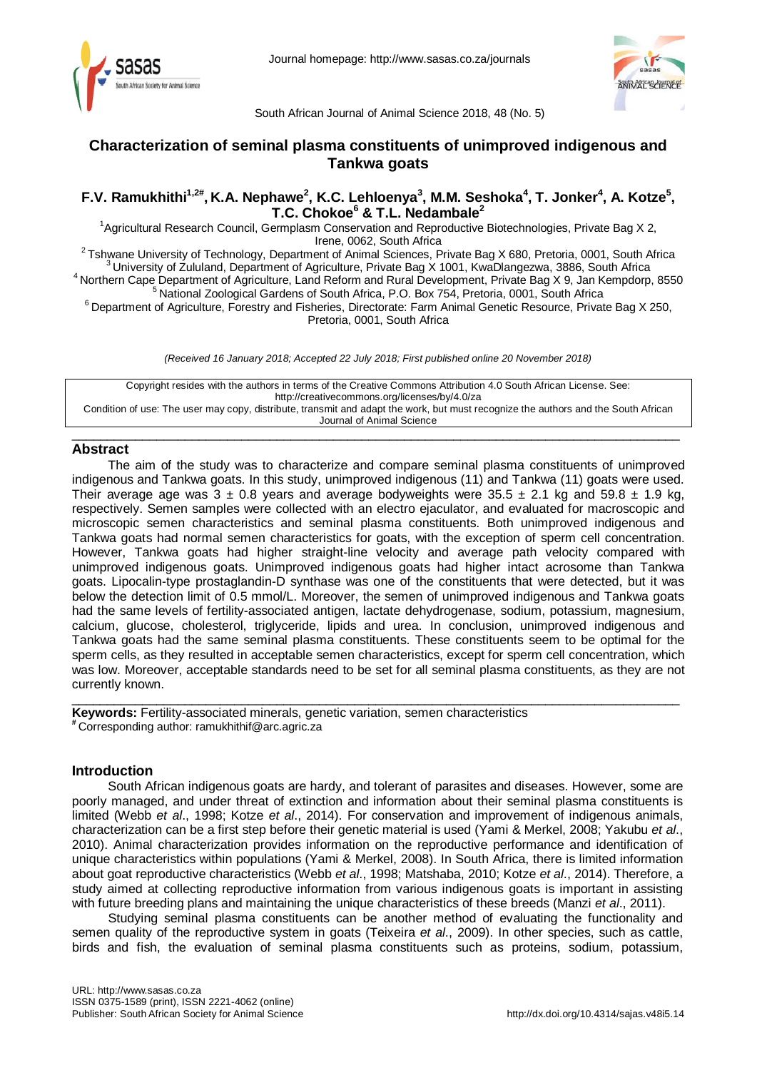



South African Journal of Animal Science 2018, 48 (No. 5)

# **Characterization of seminal plasma constituents of unimproved indigenous and Tankwa goats**

## **F.V. Ramukhithi<sup>1,2#</sup>, K.A. Nephawe<sup>2</sup>, K.C. Lehloenya<sup>3</sup>, M.M. Seshoka<sup>4</sup>, T. Jonker<sup>4</sup>, A. Kotze<sup>5</sup>, T.C. Chokoe<sup>6</sup> & T.L. Nedambale<sup>2</sup>**

<sup>1</sup>Agricultural Research Council, Germplasm Conservation and Reproductive Biotechnologies, Private Bag X 2,

1992 Tshwane University of Technology, Department of Animal Sciences, Private Bag X 680, Pretoria, 0001, South Africa<br>
<sup>2</sup> Tshwane University of Zululand, Department of Agriculture, Private Bag X 1001, KwaDlangezwa, 3886,

Pretoria, 0001, South Africa

*(Received 16 January 2018; Accepted 22 July 2018; First published online 20 November 2018)*

Copyright resides with the authors in terms of the Creative Commons Attribution 4.0 South African License. See: <http://creativecommons.org/licenses/by/4.0/za> Condition of use: The user may copy, distribute, transmit and adapt the work, but must recognize the authors and the South African Journal of Animal Science

 $\_$  , and the set of the set of the set of the set of the set of the set of the set of the set of the set of the set of the set of the set of the set of the set of the set of the set of the set of the set of the set of th

## **Abstract**

The aim of the study was to characterize and compare seminal plasma constituents of unimproved indigenous and Tankwa goats. In this study, unimproved indigenous (11) and Tankwa (11) goats were used. Their average age was  $3 \pm 0.8$  years and average bodyweights were  $35.5 \pm 2.1$  kg and  $59.8 \pm 1.9$  kg, respectively. Semen samples were collected with an electro ejaculator, and evaluated for macroscopic and microscopic semen characteristics and seminal plasma constituents. Both unimproved indigenous and Tankwa goats had normal semen characteristics for goats, with the exception of sperm cell concentration. However, Tankwa goats had higher straight-line velocity and average path velocity compared with unimproved indigenous goats. Unimproved indigenous goats had higher intact acrosome than Tankwa goats. Lipocalin-type prostaglandin-D synthase was one of the constituents that were detected, but it was below the detection limit of 0.5 mmol/L. Moreover, the semen of unimproved indigenous and Tankwa goats had the same levels of fertility-associated antigen, lactate dehydrogenase, sodium, potassium, magnesium, calcium, glucose, cholesterol, triglyceride, lipids and urea. In conclusion, unimproved indigenous and Tankwa goats had the same seminal plasma constituents. These constituents seem to be optimal for the sperm cells, as they resulted in acceptable semen characteristics, except for sperm cell concentration, which was low. Moreover, acceptable standards need to be set for all seminal plasma constituents, as they are not currently known.

\_\_\_\_\_\_\_\_\_\_\_\_\_\_\_\_\_\_\_\_\_\_\_\_\_\_\_\_\_\_\_\_\_\_\_\_\_\_\_\_\_\_\_\_\_\_\_\_\_\_\_\_\_\_\_\_\_\_\_\_\_\_\_\_\_\_\_\_\_\_\_\_\_\_\_\_\_\_\_\_\_\_\_\_\_\_

**Keywords:** Fertility-associated minerals, genetic variation, semen characteristics **#** Corresponding author: [ramukhithif@arc.agric.za](mailto:ramukhithif@arc.agric.za)

## **Introduction**

South African indigenous goats are hardy, and tolerant of parasites and diseases. However, some are poorly managed, and under threat of extinction and information about their seminal plasma constituents is limited (Webb *et al*., 1998; Kotze *et al*., 2014). For conservation and improvement of indigenous animals, characterization can be a first step before their genetic material is used (Yami & Merkel, 2008; Yakubu *et al*., 2010). Animal characterization provides information on the reproductive performance and identification of unique characteristics within populations (Yami & Merkel, 2008). In South Africa, there is limited information about goat reproductive characteristics (Webb *et al*., 1998; Matshaba, 2010; Kotze *et al*., 2014). Therefore, a study aimed at collecting reproductive information from various indigenous goats is important in assisting with future breeding plans and maintaining the unique characteristics of these breeds (Manzi *et al*., 2011).

Studying seminal plasma constituents can be another method of evaluating the functionality and semen quality of the reproductive system in goats (Teixeira *et al*., 2009). In other species, such as cattle, birds and fish, the evaluation of seminal plasma constituents such as proteins, sodium, potassium,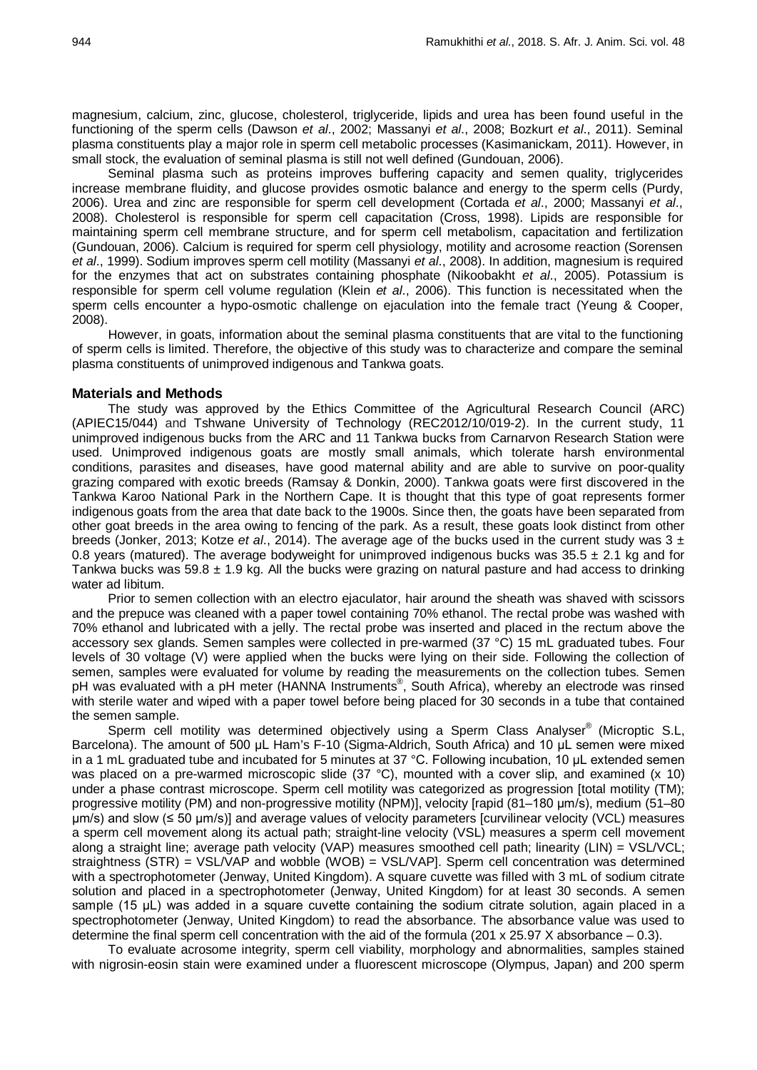magnesium, calcium, zinc, glucose, cholesterol, triglyceride, lipids and urea has been found useful in the functioning of the sperm cells (Dawson *et al*., 2002; Massanyi *et al*., 2008; Bozkurt *et al*., 2011). Seminal plasma constituents play a major role in sperm cell metabolic processes (Kasimanickam, 2011). However, in small stock, the evaluation of seminal plasma is still not well defined (Gundouan, 2006).

Seminal plasma such as proteins improves buffering capacity and semen quality, triglycerides increase membrane fluidity, and glucose provides osmotic balance and energy to the sperm cells (Purdy, 2006). Urea and zinc are responsible for sperm cell development (Cortada *et al*., 2000; Massanyi *et al*., 2008). Cholesterol is responsible for sperm cell capacitation (Cross, 1998). Lipids are responsible for maintaining sperm cell membrane structure, and for sperm cell metabolism, capacitation and fertilization (Gundouan, 2006). Calcium is required for sperm cell physiology, motility and acrosome reaction (Sorensen *et al*., 1999). Sodium improves sperm cell motility (Massanyi *et al*., 2008). In addition, magnesium is required for the enzymes that act on substrates containing phosphate (Nikoobakht *et al*., 2005). Potassium is responsible for sperm cell volume regulation (Klein *et al*., 2006). This function is necessitated when the sperm cells encounter a hypo-osmotic challenge on ejaculation into the female tract (Yeung & Cooper, 2008).

However, in goats, information about the seminal plasma constituents that are vital to the functioning of sperm cells is limited. Therefore, the objective of this study was to characterize and compare the seminal plasma constituents of unimproved indigenous and Tankwa goats.

#### **Materials and Methods**

The study was approved by the Ethics Committee of the Agricultural Research Council (ARC) (APIEC15/044) and Tshwane University of Technology (REC2012/10/019-2). In the current study, 11 unimproved indigenous bucks from the ARC and 11 Tankwa bucks from Carnarvon Research Station were used. Unimproved indigenous goats are mostly small animals, which tolerate harsh environmental conditions, parasites and diseases, have good maternal ability and are able to survive on poor-quality grazing compared with exotic breeds (Ramsay & Donkin, 2000). Tankwa goats were first discovered in the Tankwa Karoo National Park in the Northern Cape. It is thought that this type of goat represents former indigenous goats from the area that date back to the 1900s. Since then, the goats have been separated from other goat breeds in the area owing to fencing of the park. As a result, these goats look distinct from other breeds (Jonker, 2013; Kotze *et al*., 2014). The average age of the bucks used in the current study was 3 ± 0.8 years (matured). The average bodyweight for unimproved indigenous bucks was  $35.5 \pm 2.1$  kg and for Tankwa bucks was 59.8  $\pm$  1.9 kg. All the bucks were grazing on natural pasture and had access to drinking water ad libitum.

Prior to semen collection with an electro ejaculator, hair around the sheath was shaved with scissors and the prepuce was cleaned with a paper towel containing 70% ethanol. The rectal probe was washed with 70% ethanol and lubricated with a jelly. The rectal probe was inserted and placed in the rectum above the accessory sex glands. Semen samples were collected in pre-warmed (37 °C) 15 mL graduated tubes. Four levels of 30 voltage (V) were applied when the bucks were lying on their side. Following the collection of semen, samples were evaluated for volume by reading the measurements on the collection tubes. Semen pH was evaluated with a pH meter (HANNA Instruments®, South Africa), whereby an electrode was rinsed with sterile water and wiped with a paper towel before being placed for 30 seconds in a tube that contained the semen sample.

Sperm cell motility was determined objectively using a Sperm Class Analyser<sup>®</sup> (Microptic S.L, Barcelona). The amount of 500 μL Ham's F-10 (Sigma-Aldrich, South Africa) and 10 μL semen were mixed in a 1 mL graduated tube and incubated for 5 minutes at 37 °C. Following incubation, 10 μL extended semen was placed on a pre-warmed microscopic slide (37 °C), mounted with a cover slip, and examined (x 10) under a phase contrast microscope. Sperm cell motility was categorized as progression [total motility (TM); progressive motility (PM) and non-progressive motility (NPM)], velocity [rapid (81–180 μm/s), medium (51–80 μm/s) and slow (≤ 50 μm/s)] and average values of velocity parameters [curvilinear velocity (VCL) measures a sperm cell movement along its actual path; straight-line velocity (VSL) measures a sperm cell movement along a straight line; average path velocity (VAP) measures smoothed cell path; linearity (LIN) = VSL/VCL; straightness (STR) = VSL/VAP and wobble (WOB) = VSL/VAP]. Sperm cell concentration was determined with a spectrophotometer (Jenway, United Kingdom). A square cuvette was filled with 3 mL of sodium citrate solution and placed in a spectrophotometer (Jenway, United Kingdom) for at least 30 seconds. A semen sample (15 μL) was added in a square cuvette containing the sodium citrate solution, again placed in a spectrophotometer (Jenway, United Kingdom) to read the absorbance. The absorbance value was used to determine the final sperm cell concentration with the aid of the formula (201 x 25.97 X absorbance  $-$  0.3).

To evaluate acrosome integrity, sperm cell viability, morphology and abnormalities, samples stained with nigrosin-eosin stain were examined under a fluorescent microscope (Olympus, Japan) and 200 sperm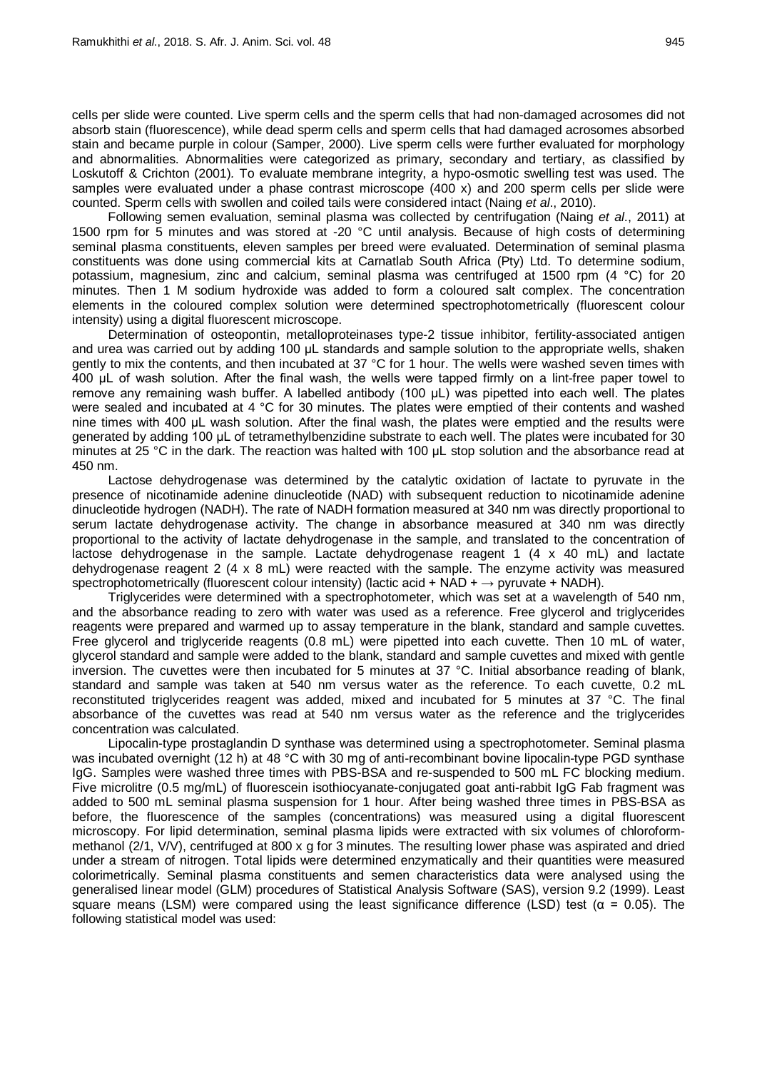cells per slide were counted. Live sperm cells and the sperm cells that had non-damaged acrosomes did not absorb stain (fluorescence), while dead sperm cells and sperm cells that had damaged acrosomes absorbed stain and became purple in colour (Samper, 2000). Live sperm cells were further evaluated for morphology and abnormalities. Abnormalities were categorized as primary, secondary and tertiary, as classified by Loskutoff & Crichton (2001)*.* To evaluate membrane integrity, a hypo-osmotic swelling test was used. The samples were evaluated under a phase contrast microscope (400 x) and 200 sperm cells per slide were counted. Sperm cells with swollen and coiled tails were considered intact (Naing *et al*., 2010).

Following semen evaluation, seminal plasma was collected by centrifugation (Naing *et al*., 2011) at 1500 rpm for 5 minutes and was stored at -20 °C until analysis. Because of high costs of determining seminal plasma constituents, eleven samples per breed were evaluated. Determination of seminal plasma constituents was done using commercial kits at Carnatlab South Africa (Pty) Ltd. To determine sodium, potassium, magnesium, zinc and calcium, seminal plasma was centrifuged at 1500 rpm (4 °C) for 20 minutes. Then 1 M sodium hydroxide was added to form a coloured salt complex. The concentration elements in the coloured complex solution were determined spectrophotometrically (fluorescent colour intensity) using a digital fluorescent microscope.

Determination of osteopontin, metalloproteinases type-2 tissue inhibitor, fertility-associated antigen and urea was carried out by adding 100 μL standards and sample solution to the appropriate wells, shaken gently to mix the contents, and then incubated at 37 °C for 1 hour. The wells were washed seven times with 400 μL of wash solution. After the final wash, the wells were tapped firmly on a lint-free paper towel to remove any remaining wash buffer. A labelled antibody (100 μL) was pipetted into each well. The plates were sealed and incubated at 4 °C for 30 minutes. The plates were emptied of their contents and washed nine times with 400 μL wash solution. After the final wash, the plates were emptied and the results were generated by adding 100 μL of tetramethylbenzidine substrate to each well. The plates were incubated for 30 minutes at 25 °C in the dark. The reaction was halted with 100 μL stop solution and the absorbance read at 450 nm.

Lactose dehydrogenase was determined by the catalytic oxidation of lactate to pyruvate in the presence of nicotinamide adenine dinucleotide (NAD) with subsequent reduction to nicotinamide adenine dinucleotide hydrogen (NADH). The rate of NADH formation measured at 340 nm was directly proportional to serum lactate dehydrogenase activity. The change in absorbance measured at 340 nm was directly proportional to the activity of lactate dehydrogenase in the sample, and translated to the concentration of lactose dehydrogenase in the sample. Lactate dehydrogenase reagent  $1$  (4 x 40 mL) and lactate dehydrogenase reagent 2 (4 x 8 mL) were reacted with the sample. The enzyme activity was measured spectrophotometrically (fluorescent colour intensity) (lactic acid + NAD +  $\rightarrow$  pyruvate + NADH).

Triglycerides were determined with a spectrophotometer, which was set at a wavelength of 540 nm, and the absorbance reading to zero with water was used as a reference. Free glycerol and triglycerides reagents were prepared and warmed up to assay temperature in the blank, standard and sample cuvettes. Free glycerol and triglyceride reagents (0.8 mL) were pipetted into each cuvette. Then 10 mL of water, glycerol standard and sample were added to the blank, standard and sample cuvettes and mixed with gentle inversion. The cuvettes were then incubated for 5 minutes at 37 °C. Initial absorbance reading of blank, standard and sample was taken at 540 nm versus water as the reference. To each cuvette, 0.2 mL reconstituted triglycerides reagent was added, mixed and incubated for 5 minutes at 37 °C. The final absorbance of the cuvettes was read at 540 nm versus water as the reference and the triglycerides concentration was calculated.

Lipocalin-type prostaglandin D synthase was determined using a spectrophotometer. Seminal plasma was incubated overnight (12 h) at 48 °C with 30 mg of anti-recombinant bovine lipocalin-type PGD synthase IgG. Samples were washed three times with PBS-BSA and re-suspended to 500 mL FC blocking medium. Five microlitre (0.5 mg/mL) of fluorescein isothiocyanate-conjugated goat anti-rabbit IgG Fab fragment was added to 500 mL seminal plasma suspension for 1 hour. After being washed three times in PBS-BSA as before, the fluorescence of the samples (concentrations) was measured using a digital fluorescent microscopy. For lipid determination, seminal plasma lipids were extracted with six volumes of chloroformmethanol (2/1, V/V), centrifuged at 800 x g for 3 minutes. The resulting lower phase was aspirated and dried under a stream of nitrogen. Total lipids were determined enzymatically and their quantities were measured colorimetrically. Seminal plasma constituents and semen characteristics data were analysed using the generalised linear model (GLM) procedures of Statistical Analysis Software (SAS), version 9.2 (1999). Least square means (LSM) were compared using the least significance difference (LSD) test ( $\alpha$  = 0.05). The following statistical model was used: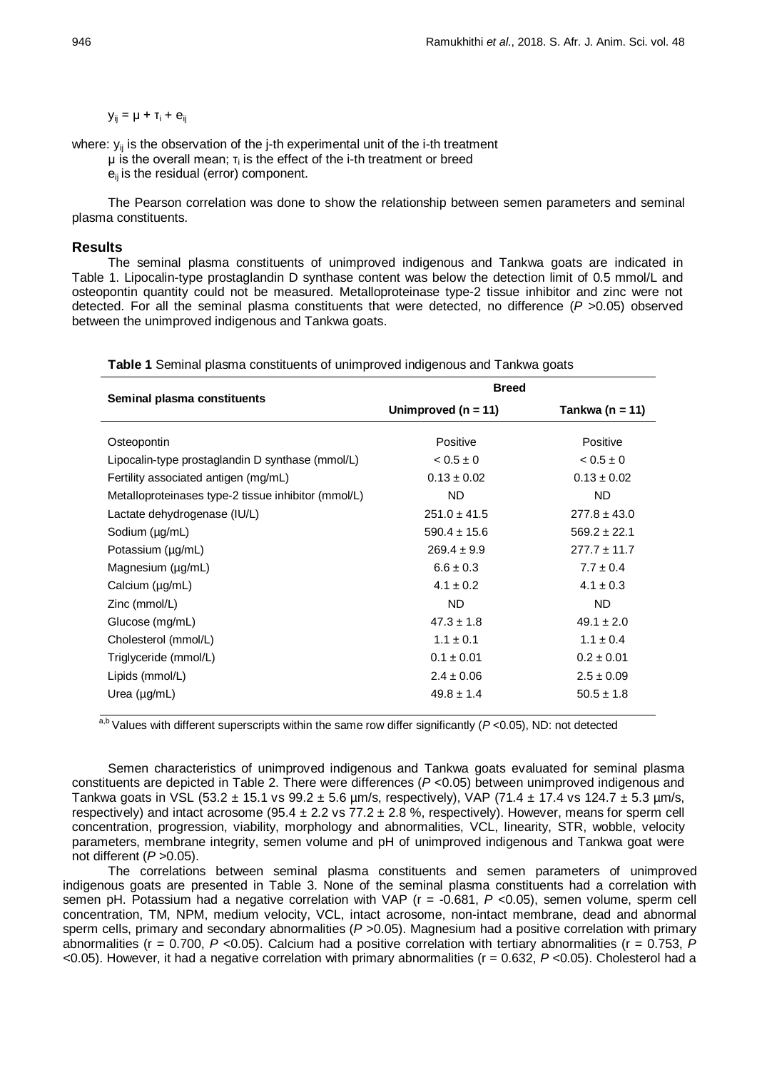$y_{ii} = \mu + T_i + e_{ii}$ 

where:  $y_{ii}$  is the observation of the j-th experimental unit of the i-th treatment

 $\mu$  is the overall mean;  $\tau_i$  is the effect of the i-th treatment or breed

 $e_{ii}$  is the residual (error) component.

The Pearson correlation was done to show the relationship between semen parameters and seminal plasma constituents.

## **Results**

The seminal plasma constituents of unimproved indigenous and Tankwa goats are indicated in Table 1. Lipocalin-type prostaglandin D synthase content was below the detection limit of 0.5 mmol/L and osteopontin quantity could not be measured. Metalloproteinase type-2 tissue inhibitor and zinc were not detected. For all the seminal plasma constituents that were detected, no difference (*P >*0.05) observed between the unimproved indigenous and Tankwa goats.

|                                                     | <b>Breed</b>          |                  |  |  |  |  |
|-----------------------------------------------------|-----------------------|------------------|--|--|--|--|
| Seminal plasma constituents                         | Unimproved $(n = 11)$ | Tankwa (n = 11)  |  |  |  |  |
| Osteopontin                                         | Positive              | Positive         |  |  |  |  |
| Lipocalin-type prostaglandin D synthase (mmol/L)    | $0.5 \pm 0$           | $0.5 \pm 0$      |  |  |  |  |
| Fertility associated antigen (mg/mL)                | $0.13 \pm 0.02$       | $0.13 \pm 0.02$  |  |  |  |  |
| Metalloproteinases type-2 tissue inhibitor (mmol/L) | <b>ND</b>             | <b>ND</b>        |  |  |  |  |
| Lactate dehydrogenase (IU/L)                        | $251.0 \pm 41.5$      | $277.8 \pm 43.0$ |  |  |  |  |
| Sodium (µg/mL)                                      | $590.4 \pm 15.6$      | $569.2 \pm 22.1$ |  |  |  |  |
| Potassium (µg/mL)                                   | $269.4 \pm 9.9$       | $277.7 \pm 11.7$ |  |  |  |  |
| Magnesium (µg/mL)                                   | $6.6 \pm 0.3$         | $7.7 \pm 0.4$    |  |  |  |  |
| Calcium $(\mu g/mL)$                                | $4.1 \pm 0.2$         | $4.1 \pm 0.3$    |  |  |  |  |
| Zinc (mmol/L)                                       | ND.                   | ND.              |  |  |  |  |
| Glucose (mg/mL)                                     | $47.3 \pm 1.8$        | $49.1 \pm 2.0$   |  |  |  |  |
| Cholesterol (mmol/L)                                | $1.1 + 0.1$           | $1.1 \pm 0.4$    |  |  |  |  |
| Triglyceride (mmol/L)                               | $0.1 \pm 0.01$        | $0.2 \pm 0.01$   |  |  |  |  |
| Lipids (mmol/L)                                     | $2.4 \pm 0.06$        | $2.5 \pm 0.09$   |  |  |  |  |
| Urea $(\mu g/mL)$                                   | $49.8 \pm 1.4$        | $50.5 \pm 1.8$   |  |  |  |  |

**Table 1** Seminal plasma constituents of unimproved indigenous and Tankwa goats

a,b Values with different superscripts within the same row differ significantly (P<0.05), ND: not detected

Semen characteristics of unimproved indigenous and Tankwa goats evaluated for seminal plasma constituents are depicted in Table 2. There were differences (*P* <0.05) between unimproved indigenous and Tankwa goats in VSL (53.2  $\pm$  15.1 vs 99.2  $\pm$  5.6 µm/s, respectively), VAP (71.4  $\pm$  17.4 vs 124.7  $\pm$  5.3 µm/s, respectively) and intact acrosome (95.4  $\pm$  2.2 vs 77.2  $\pm$  2.8 %, respectively). However, means for sperm cell concentration, progression, viability, morphology and abnormalities, VCL, linearity, STR, wobble, velocity parameters, membrane integrity, semen volume and pH of unimproved indigenous and Tankwa goat were not different (*P >*0.05).

The correlations between seminal plasma constituents and semen parameters of unimproved indigenous goats are presented in Table 3. None of the seminal plasma constituents had a correlation with semen pH. Potassium had a negative correlation with VAP (r = -0.681, *P <*0.05), semen volume, sperm cell concentration, TM, NPM, medium velocity, VCL, intact acrosome, non-intact membrane, dead and abnormal sperm cells, primary and secondary abnormalities (*P >*0.05). Magnesium had a positive correlation with primary abnormalities (r = 0.700, *P <*0.05). Calcium had a positive correlation with tertiary abnormalities (r = 0.753, *P <*0.05). However, it had a negative correlation with primary abnormalities (r = 0.632, *P <*0.05). Cholesterol had a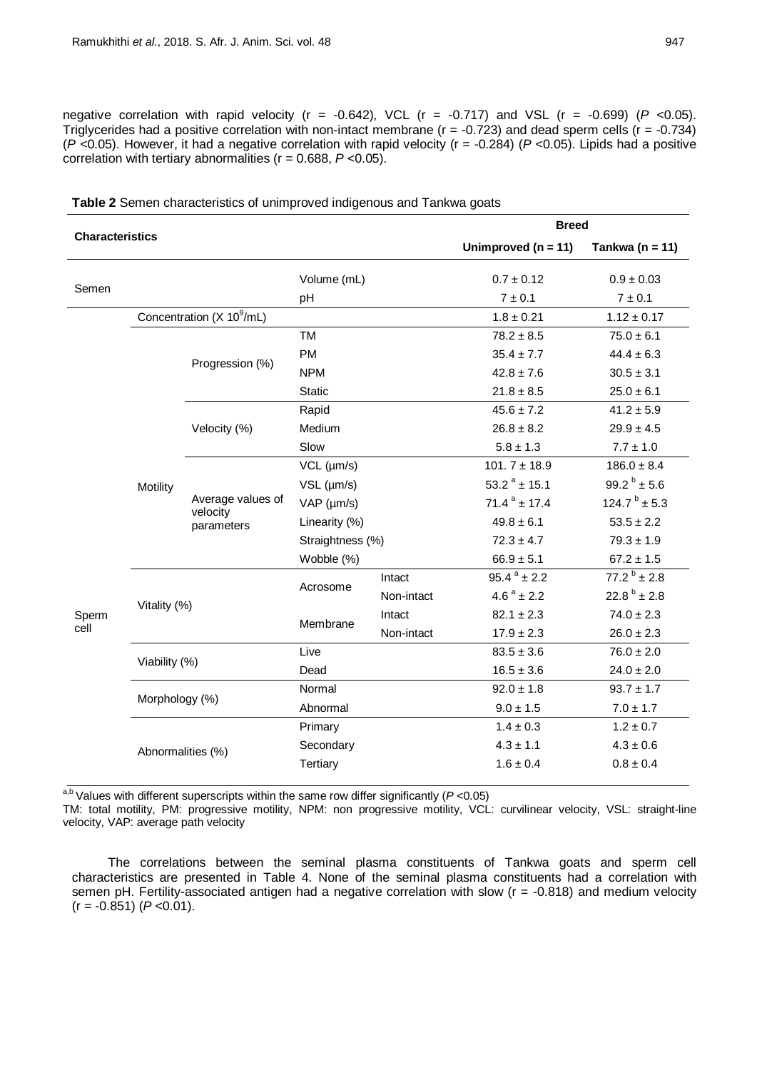negative correlation with rapid velocity (r = -0.642), VCL (r = -0.717) and VSL (r = -0.699) (*P <*0.05). Triglycerides had a positive correlation with non-intact membrane ( $r = -0.723$ ) and dead sperm cells ( $r = -0.734$ ) (*P <*0.05). However, it had a negative correlation with rapid velocity (r = -0.284) (*P <*0.05). Lipids had a positive correlation with tertiary abnormalities (r = 0.688, *P <*0.05).

| <b>Characteristics</b> |                   |                                             | <b>Breed</b>       |                |                           |                           |  |  |
|------------------------|-------------------|---------------------------------------------|--------------------|----------------|---------------------------|---------------------------|--|--|
|                        |                   |                                             |                    |                | Unimproved ( $n = 11$ )   | Tankwa ( $n = 11$ )       |  |  |
| Semen                  |                   | Volume (mL)                                 |                    | $0.7 \pm 0.12$ | $0.9 \pm 0.03$            |                           |  |  |
|                        |                   |                                             | pH                 |                | 7 ± 0.1                   | 7 ± 0.1                   |  |  |
|                        |                   | Concentration (X 10 <sup>9</sup> /mL)       |                    |                | $1.8 \pm 0.21$            | $1.12 \pm 0.17$           |  |  |
|                        |                   |                                             | <b>TM</b>          |                | $78.2 \pm 8.5$            | $75.0 \pm 6.1$            |  |  |
|                        |                   | Progression (%)                             | <b>PM</b>          |                | $35.4 \pm 7.7$            | $44.4 \pm 6.3$            |  |  |
|                        |                   |                                             | <b>NPM</b>         |                | $42.8 \pm 7.6$            | $30.5 \pm 3.1$            |  |  |
|                        |                   |                                             | Static             |                | $21.8 \pm 8.5$            | $25.0 \pm 6.1$            |  |  |
|                        |                   |                                             | Rapid              |                | $45.6 \pm 7.2$            | $41.2 \pm 5.9$            |  |  |
|                        |                   | Velocity (%)                                | Medium             |                | $26.8 \pm 8.2$            | $29.9 \pm 4.5$            |  |  |
|                        |                   |                                             | Slow               |                | $5.8 \pm 1.3$             | $7.7 \pm 1.0$             |  |  |
|                        |                   | Average values of<br>velocity<br>parameters | VCL (µm/s)         |                | $101.7 \pm 18.9$          | $186.0 \pm 8.4$           |  |  |
|                        | Motility          |                                             | $VSL$ ( $\mu$ m/s) |                | 53.2 $^{a}$ ± 15.1        | 99.2 $\frac{b}{2}$ ± 5.6  |  |  |
|                        |                   |                                             | VAP (µm/s)         |                | $71.4^a \pm 17.4$         | $124.7^{b} \pm 5.3$       |  |  |
|                        |                   |                                             | Linearity (%)      |                | $49.8 \pm 6.1$            | $53.5 \pm 2.2$            |  |  |
|                        |                   |                                             | Straightness (%)   |                | $72.3 \pm 4.7$            | $79.3 \pm 1.9$            |  |  |
|                        |                   |                                             | Wobble (%)         |                | $66.9 \pm 5.1$            | $67.2 \pm 1.5$            |  |  |
|                        |                   |                                             | Acrosome           | Intact         | $95.4^{\text{a}} \pm 2.2$ | $77.2^{\text{b}} \pm 2.8$ |  |  |
|                        | Vitality (%)      |                                             |                    | Non-intact     | $4.6^{\text{a}} \pm 2.2$  | $22.8^{b} \pm 2.8$        |  |  |
| Sperm                  |                   |                                             | Membrane           | Intact         | $82.1 \pm 2.3$            | $74.0 \pm 2.3$            |  |  |
| cell                   |                   |                                             |                    | Non-intact     | $17.9 \pm 2.3$            | $26.0 \pm 2.3$            |  |  |
|                        | Viability (%)     |                                             | Live               |                | $83.5 \pm 3.6$            | $76.0 \pm 2.0$            |  |  |
|                        |                   |                                             | Dead               |                | $16.5 \pm 3.6$            | $24.0 \pm 2.0$            |  |  |
|                        | Morphology (%)    |                                             | Normal             |                | $92.0 \pm 1.8$            | $93.7 \pm 1.7$            |  |  |
|                        |                   |                                             | Abnormal           |                | $9.0 \pm 1.5$             | $7.0 \pm 1.7$             |  |  |
|                        |                   |                                             | Primary            |                | $1.4 \pm 0.3$             | $1.2 \pm 0.7$             |  |  |
|                        | Abnormalities (%) |                                             | Secondary          |                | $4.3 \pm 1.1$             | $4.3 \pm 0.6$             |  |  |
|                        |                   |                                             | <b>Tertiary</b>    |                | $1.6 \pm 0.4$             | $0.8 \pm 0.4$             |  |  |
|                        |                   |                                             |                    |                |                           |                           |  |  |

**Table 2** Semen characteristics of unimproved indigenous and Tankwa goats

a,b Values with different superscripts within the same row differ significantly (*P* <0.05)

TM: total motility, PM: progressive motility, NPM: non progressive motility, VCL: curvilinear velocity, VSL: straight-line velocity, VAP: average path velocity

The correlations between the seminal plasma constituents of Tankwa goats and sperm cell characteristics are presented in Table 4. None of the seminal plasma constituents had a correlation with semen pH. Fertility-associated antigen had a negative correlation with slow (r = -0.818) and medium velocity (r = -0.851) (*P <*0.01).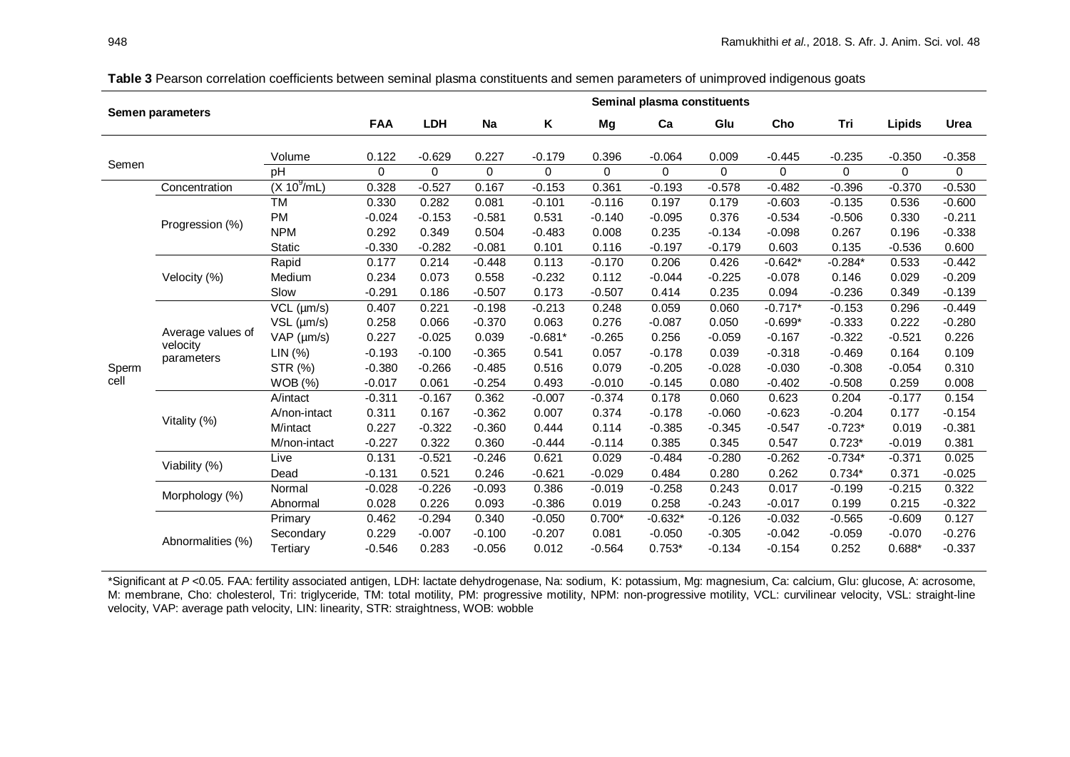| <b>Semen parameters</b> |                                             |                                | Seminal plasma constituents |            |          |              |          |           |          |           |           |          |              |
|-------------------------|---------------------------------------------|--------------------------------|-----------------------------|------------|----------|--------------|----------|-----------|----------|-----------|-----------|----------|--------------|
|                         |                                             |                                | <b>FAA</b>                  | <b>LDH</b> | Na       | Κ            | Mg       | Ca        | Glu      | Cho       | Tri       | Lipids   | Urea         |
|                         |                                             | Volume                         | 0.122                       | $-0.629$   | 0.227    | $-0.179$     | 0.396    | $-0.064$  | 0.009    | $-0.445$  | $-0.235$  | $-0.350$ | $-0.358$     |
| Semen                   |                                             | pH                             | $\Omega$                    | $\Omega$   | $\Omega$ | $\mathbf{0}$ | $\Omega$ | $\Omega$  | $\Omega$ | $\Omega$  | $\Omega$  | $\Omega$ | $\mathbf{0}$ |
|                         | Concentration                               | $(X 10^9/mL)$                  | 0.328                       | $-0.527$   | 0.167    | $-0.153$     | 0.361    | $-0.193$  | $-0.578$ | $-0.482$  | $-0.396$  | $-0.370$ | $-0.530$     |
|                         |                                             | TM                             | 0.330                       | 0.282      | 0.081    | $-0.101$     | $-0.116$ | 0.197     | 0.179    | $-0.603$  | $-0.135$  | 0.536    | $-0.600$     |
|                         |                                             | <b>PM</b>                      | $-0.024$                    | $-0.153$   | $-0.581$ | 0.531        | $-0.140$ | $-0.095$  | 0.376    | $-0.534$  | $-0.506$  | 0.330    | $-0.211$     |
|                         | Progression (%)                             | <b>NPM</b>                     | 0.292                       | 0.349      | 0.504    | $-0.483$     | 0.008    | 0.235     | $-0.134$ | $-0.098$  | 0.267     | 0.196    | $-0.338$     |
|                         |                                             | Static                         | $-0.330$                    | $-0.282$   | $-0.081$ | 0.101        | 0.116    | $-0.197$  | $-0.179$ | 0.603     | 0.135     | $-0.536$ | 0.600        |
|                         |                                             | Rapid                          | 0.177                       | 0.214      | $-0.448$ | 0.113        | $-0.170$ | 0.206     | 0.426    | $-0.642*$ | $-0.284*$ | 0.533    | $-0.442$     |
|                         | Velocity (%)                                | Medium                         | 0.234                       | 0.073      | 0.558    | $-0.232$     | 0.112    | $-0.044$  | $-0.225$ | $-0.078$  | 0.146     | 0.029    | $-0.209$     |
|                         |                                             | Slow                           | $-0.291$                    | 0.186      | $-0.507$ | 0.173        | $-0.507$ | 0.414     | 0.235    | 0.094     | $-0.236$  | 0.349    | $-0.139$     |
|                         |                                             | $\overline{\text{VCL}}$ (µm/s) | 0.407                       | 0.221      | $-0.198$ | $-0.213$     | 0.248    | 0.059     | 0.060    | $-0.717*$ | $-0.153$  | 0.296    | $-0.449$     |
|                         |                                             | VSL (µm/s)                     | 0.258                       | 0.066      | $-0.370$ | 0.063        | 0.276    | $-0.087$  | 0.050    | $-0.699*$ | $-0.333$  | 0.222    | $-0.280$     |
|                         | Average values of<br>velocity<br>parameters | VAP (µm/s)                     | 0.227                       | $-0.025$   | 0.039    | $-0.681*$    | $-0.265$ | 0.256     | $-0.059$ | $-0.167$  | $-0.322$  | $-0.521$ | 0.226        |
| Sperm                   |                                             | LIN (%)                        | $-0.193$                    | $-0.100$   | $-0.365$ | 0.541        | 0.057    | $-0.178$  | 0.039    | $-0.318$  | $-0.469$  | 0.164    | 0.109        |
|                         |                                             | STR (%)                        | $-0.380$                    | $-0.266$   | $-0.485$ | 0.516        | 0.079    | $-0.205$  | $-0.028$ | $-0.030$  | $-0.308$  | $-0.054$ | 0.310        |
| cell                    |                                             | <b>WOB</b> (%)                 | $-0.017$                    | 0.061      | $-0.254$ | 0.493        | $-0.010$ | $-0.145$  | 0.080    | $-0.402$  | $-0.508$  | 0.259    | 0.008        |
|                         | Vitality (%)                                | A/intact                       | $-0.311$                    | $-0.167$   | 0.362    | $-0.007$     | $-0.374$ | 0.178     | 0.060    | 0.623     | 0.204     | $-0.177$ | 0.154        |
|                         |                                             | A/non-intact                   | 0.311                       | 0.167      | $-0.362$ | 0.007        | 0.374    | $-0.178$  | $-0.060$ | $-0.623$  | $-0.204$  | 0.177    | $-0.154$     |
|                         |                                             | M/intact                       | 0.227                       | $-0.322$   | $-0.360$ | 0.444        | 0.114    | $-0.385$  | $-0.345$ | $-0.547$  | $-0.723*$ | 0.019    | $-0.381$     |
|                         |                                             | M/non-intact                   | $-0.227$                    | 0.322      | 0.360    | $-0.444$     | $-0.114$ | 0.385     | 0.345    | 0.547     | $0.723*$  | $-0.019$ | 0.381        |
|                         | Viability (%)                               | Live                           | 0.131                       | $-0.521$   | $-0.246$ | 0.621        | 0.029    | $-0.484$  | $-0.280$ | $-0.262$  | $-0.734*$ | $-0.371$ | 0.025        |
|                         |                                             | Dead                           | $-0.131$                    | 0.521      | 0.246    | $-0.621$     | $-0.029$ | 0.484     | 0.280    | 0.262     | $0.734*$  | 0.371    | $-0.025$     |
|                         | Morphology (%)                              | Normal                         | $-0.028$                    | $-0.226$   | $-0.093$ | 0.386        | $-0.019$ | $-0.258$  | 0.243    | 0.017     | $-0.199$  | $-0.215$ | 0.322        |
|                         |                                             | Abnormal                       | 0.028                       | 0.226      | 0.093    | $-0.386$     | 0.019    | 0.258     | $-0.243$ | $-0.017$  | 0.199     | 0.215    | $-0.322$     |
|                         | Abnormalities (%)                           | Primary                        | 0.462                       | $-0.294$   | 0.340    | $-0.050$     | $0.700*$ | $-0.632*$ | $-0.126$ | $-0.032$  | $-0.565$  | $-0.609$ | 0.127        |
|                         |                                             | Secondary                      | 0.229                       | $-0.007$   | $-0.100$ | $-0.207$     | 0.081    | $-0.050$  | $-0.305$ | $-0.042$  | $-0.059$  | $-0.070$ | $-0.276$     |
|                         |                                             | Tertiary                       | $-0.546$                    | 0.283      | $-0.056$ | 0.012        | $-0.564$ | $0.753*$  | $-0.134$ | $-0.154$  | 0.252     | $0.688*$ | $-0.337$     |

**Table 3** Pearson correlation coefficients between seminal plasma constituents and semen parameters of unimproved indigenous goats

\*Significant at *P <*0.05. FAA: fertility associated antigen, LDH: lactate dehydrogenase, Na: sodium, K: potassium, Mg: magnesium, Ca: calcium, Glu: glucose, A: acrosome, M: membrane, Cho: cholesterol, Tri: triglyceride, TM: total motility, PM: progressive motility, NPM: non-progressive motility, VCL: curvilinear velocity, VSL: straight-line velocity, VAP: average path velocity, LIN: linearity, STR: straightness, WOB: wobble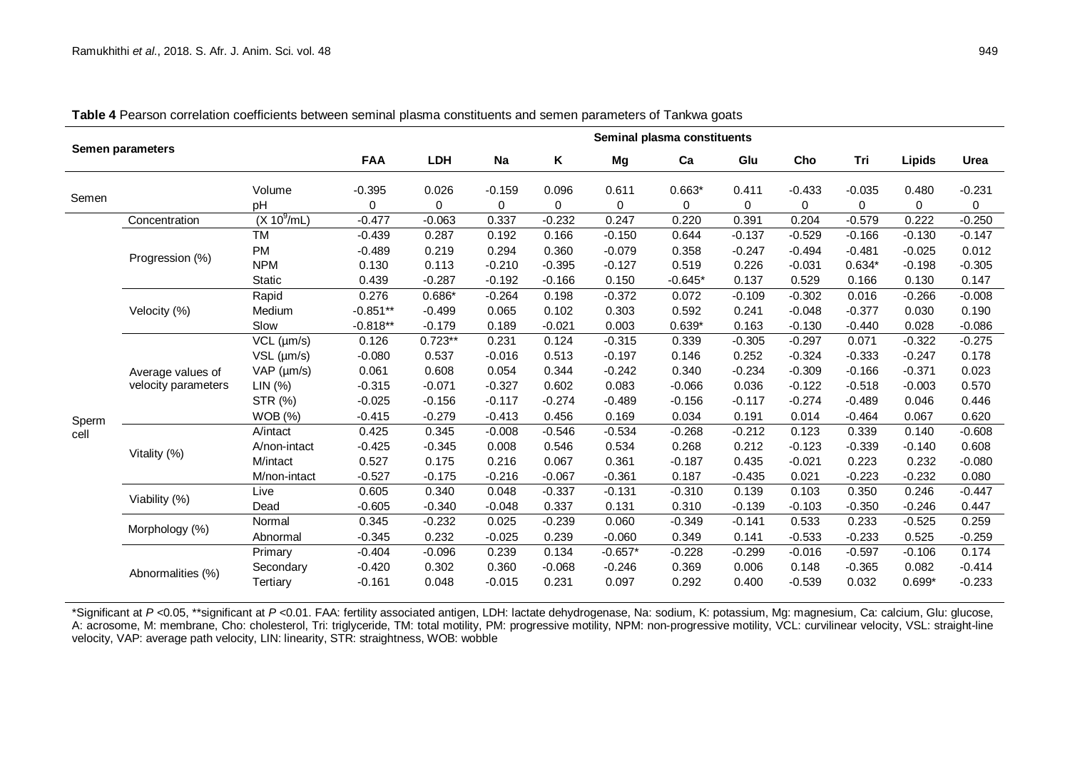| Semen parameters |                                          | Seminal plasma constituents |            |           |          |          |           |           |          |          |          |          |          |
|------------------|------------------------------------------|-----------------------------|------------|-----------|----------|----------|-----------|-----------|----------|----------|----------|----------|----------|
|                  |                                          | <b>FAA</b>                  | <b>LDH</b> | Na        | Κ        | Mg       | Ca        | Glu       | Cho      | Tri      | Lipids   | Urea     |          |
| Semen            |                                          | Volume                      | $-0.395$   | 0.026     | $-0.159$ | 0.096    | 0.611     | $0.663*$  | 0.411    | $-0.433$ | $-0.035$ | 0.480    | $-0.231$ |
|                  |                                          | pH                          | 0          | 0         | 0        | 0        | 0         | 0         | 0        | 0        | 0        | 0        | 0        |
|                  | Concentration                            | $(X 10^9/mL)$               | $-0.477$   | $-0.063$  | 0.337    | $-0.232$ | 0.247     | 0.220     | 0.391    | 0.204    | $-0.579$ | 0.222    | $-0.250$ |
|                  |                                          | <b>TM</b>                   | $-0.439$   | 0.287     | 0.192    | 0.166    | $-0.150$  | 0.644     | $-0.137$ | $-0.529$ | $-0.166$ | $-0.130$ | $-0.147$ |
|                  | Progression (%)                          | <b>PM</b>                   | $-0.489$   | 0.219     | 0.294    | 0.360    | $-0.079$  | 0.358     | $-0.247$ | $-0.494$ | $-0.481$ | $-0.025$ | 0.012    |
|                  |                                          | <b>NPM</b>                  | 0.130      | 0.113     | $-0.210$ | $-0.395$ | $-0.127$  | 0.519     | 0.226    | $-0.031$ | $0.634*$ | $-0.198$ | $-0.305$ |
|                  |                                          | <b>Static</b>               | 0.439      | $-0.287$  | $-0.192$ | $-0.166$ | 0.150     | $-0.645*$ | 0.137    | 0.529    | 0.166    | 0.130    | 0.147    |
|                  |                                          | Rapid                       | 0.276      | $0.686*$  | $-0.264$ | 0.198    | $-0.372$  | 0.072     | $-0.109$ | $-0.302$ | 0.016    | $-0.266$ | $-0.008$ |
|                  | Velocity (%)                             | Medium                      | $-0.851**$ | $-0.499$  | 0.065    | 0.102    | 0.303     | 0.592     | 0.241    | $-0.048$ | $-0.377$ | 0.030    | 0.190    |
|                  |                                          | Slow                        | $-0.818**$ | $-0.179$  | 0.189    | $-0.021$ | 0.003     | $0.639*$  | 0.163    | $-0.130$ | $-0.440$ | 0.028    | $-0.086$ |
|                  |                                          | $VCL$ ( $µm/s$ )            | 0.126      | $0.723**$ | 0.231    | 0.124    | $-0.315$  | 0.339     | $-0.305$ | $-0.297$ | 0.071    | $-0.322$ | $-0.275$ |
|                  |                                          | $VSL$ ( $\mu$ m/s)          | $-0.080$   | 0.537     | $-0.016$ | 0.513    | $-0.197$  | 0.146     | 0.252    | $-0.324$ | $-0.333$ | $-0.247$ | 0.178    |
|                  | Average values of<br>velocity parameters | VAP (µm/s)                  | 0.061      | 0.608     | 0.054    | 0.344    | $-0.242$  | 0.340     | $-0.234$ | $-0.309$ | $-0.166$ | $-0.371$ | 0.023    |
|                  |                                          | LIN (%)                     | $-0.315$   | $-0.071$  | $-0.327$ | 0.602    | 0.083     | $-0.066$  | 0.036    | $-0.122$ | $-0.518$ | $-0.003$ | 0.570    |
|                  |                                          | STR (%)                     | $-0.025$   | $-0.156$  | $-0.117$ | $-0.274$ | $-0.489$  | $-0.156$  | $-0.117$ | $-0.274$ | $-0.489$ | 0.046    | 0.446    |
| Sperm            |                                          | <b>WOB</b> (%)              | $-0.415$   | $-0.279$  | $-0.413$ | 0.456    | 0.169     | 0.034     | 0.191    | 0.014    | $-0.464$ | 0.067    | 0.620    |
| cell             | Vitality (%)                             | A/intact                    | 0.425      | 0.345     | $-0.008$ | $-0.546$ | $-0.534$  | $-0.268$  | $-0.212$ | 0.123    | 0.339    | 0.140    | $-0.608$ |
|                  |                                          | A/non-intact                | $-0.425$   | $-0.345$  | 0.008    | 0.546    | 0.534     | 0.268     | 0.212    | $-0.123$ | $-0.339$ | $-0.140$ | 0.608    |
|                  |                                          | M/intact                    | 0.527      | 0.175     | 0.216    | 0.067    | 0.361     | $-0.187$  | 0.435    | $-0.021$ | 0.223    | 0.232    | $-0.080$ |
|                  |                                          | M/non-intact                | $-0.527$   | $-0.175$  | $-0.216$ | $-0.067$ | $-0.361$  | 0.187     | $-0.435$ | 0.021    | $-0.223$ | $-0.232$ | 0.080    |
|                  | Viability (%)                            | Live                        | 0.605      | 0.340     | 0.048    | $-0.337$ | $-0.131$  | $-0.310$  | 0.139    | 0.103    | 0.350    | 0.246    | $-0.447$ |
|                  |                                          | Dead                        | $-0.605$   | $-0.340$  | $-0.048$ | 0.337    | 0.131     | 0.310     | $-0.139$ | $-0.103$ | $-0.350$ | $-0.246$ | 0.447    |
|                  | Morphology (%)                           | Normal                      | 0.345      | $-0.232$  | 0.025    | $-0.239$ | 0.060     | $-0.349$  | $-0.141$ | 0.533    | 0.233    | $-0.525$ | 0.259    |
|                  |                                          | Abnormal                    | $-0.345$   | 0.232     | $-0.025$ | 0.239    | $-0.060$  | 0.349     | 0.141    | $-0.533$ | $-0.233$ | 0.525    | $-0.259$ |
|                  |                                          | Primary                     | $-0.404$   | $-0.096$  | 0.239    | 0.134    | $-0.657*$ | $-0.228$  | $-0.299$ | $-0.016$ | $-0.597$ | $-0.106$ | 0.174    |
|                  | Abnormalities (%)                        | Secondary                   | $-0.420$   | 0.302     | 0.360    | $-0.068$ | $-0.246$  | 0.369     | 0.006    | 0.148    | $-0.365$ | 0.082    | $-0.414$ |
|                  |                                          | Tertiary                    | $-0.161$   | 0.048     | $-0.015$ | 0.231    | 0.097     | 0.292     | 0.400    | $-0.539$ | 0.032    | $0.699*$ | $-0.233$ |
|                  |                                          |                             |            |           |          |          |           |           |          |          |          |          |          |

**Table 4** Pearson correlation coefficients between seminal plasma constituents and semen parameters of Tankwa goats

\*Significant at *P <*0.05, \*\*significant at *P <*0.01. FAA: fertility associated antigen, LDH: lactate dehydrogenase, Na: sodium, K: potassium, Mg: magnesium, Ca: calcium, Glu: glucose, A: acrosome, M: membrane, Cho: cholesterol, Tri: triglyceride, TM: total motility, PM: progressive motility, NPM: non-progressive motility, VCL: curvilinear velocity, VSL: straight-line velocity, VAP: average path velocity, LIN: linearity, STR: straightness, WOB: wobble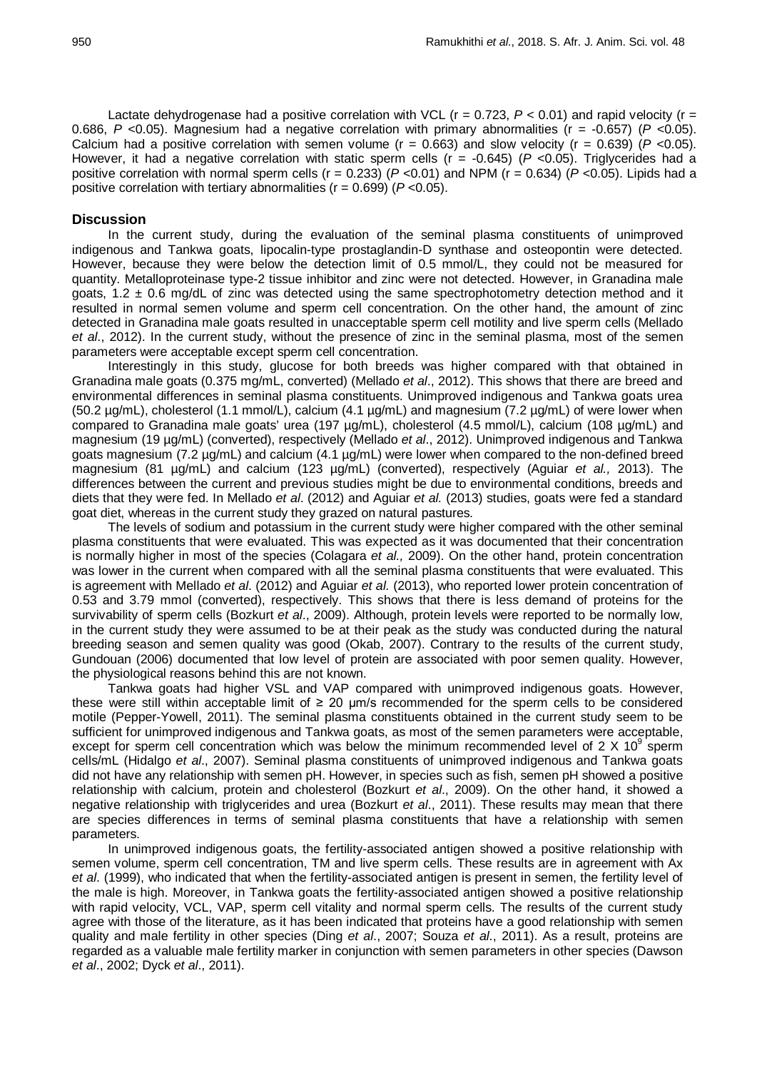Lactate dehydrogenase had a positive correlation with VCL ( $r = 0.723$ ,  $P < 0.01$ ) and rapid velocity ( $r =$ 0.686, *P <*0.05). Magnesium had a negative correlation with primary abnormalities (r = -0.657) (*P <*0.05). Calcium had a positive correlation with semen volume (r = 0.663) and slow velocity (r = 0.639) (*P <*0.05). However, it had a negative correlation with static sperm cells (r = -0.645) (*P <*0.05). Triglycerides had a positive correlation with normal sperm cells (r = 0.233) (*P <*0.01) and NPM (r = 0.634) (*P <*0.05). Lipids had a positive correlation with tertiary abnormalities (r = 0.699) (*P <*0.05).

## **Discussion**

In the current study, during the evaluation of the seminal plasma constituents of unimproved indigenous and Tankwa goats, lipocalin-type prostaglandin-D synthase and osteopontin were detected. However, because they were below the detection limit of 0.5 mmol/L, they could not be measured for quantity. Metalloproteinase type-2 tissue inhibitor and zinc were not detected. However, in Granadina male goats,  $1.2 \pm 0.6$  mg/dL of zinc was detected using the same spectrophotometry detection method and it resulted in normal semen volume and sperm cell concentration. On the other hand, the amount of zinc detected in Granadina male goats resulted in unacceptable sperm cell motility and live sperm cells (Mellado *et al*., 2012). In the current study, without the presence of zinc in the seminal plasma, most of the semen parameters were acceptable except sperm cell concentration.

Interestingly in this study, glucose for both breeds was higher compared with that obtained in Granadina male goats (0.375 mg/mL, converted) (Mellado *et al*., 2012). This shows that there are breed and environmental differences in seminal plasma constituents. Unimproved indigenous and Tankwa goats urea (50.2 µg/mL), cholesterol (1.1 mmol/L), calcium (4.1 µg/mL) and magnesium (7.2 µg/mL) of were lower when compared to Granadina male goats' urea (197 µg/mL), cholesterol (4.5 mmol/L), calcium (108 µg/mL) and magnesium (19 µg/mL) (converted), respectively (Mellado *et al*., 2012). Unimproved indigenous and Tankwa goats magnesium (7.2 µg/mL) and calcium (4.1 µg/mL) were lower when compared to the non-defined breed magnesium (81 µg/mL) and calcium (123 µg/mL) (converted), respectively (Aguiar *et al.,* 2013). The differences between the current and previous studies might be due to environmental conditions, breeds and diets that they were fed. In Mellado *et al*. (2012) and Aguiar *et al.* (2013) studies, goats were fed a standard goat diet, whereas in the current study they grazed on natural pastures.

The levels of sodium and potassium in the current study were higher compared with the other seminal plasma constituents that were evaluated. This was expected as it was documented that their concentration is normally higher in most of the species (Colagara *et al.,* 2009). On the other hand, protein concentration was lower in the current when compared with all the seminal plasma constituents that were evaluated. This is agreement with Mellado *et al*. (2012) and Aguiar *et al.* (2013), who reported lower protein concentration of 0.53 and 3.79 mmol (converted), respectively. This shows that there is less demand of proteins for the survivability of sperm cells (Bozkurt *et al*., 2009). Although, protein levels were reported to be normally low, in the current study they were assumed to be at their peak as the study was conducted during the natural breeding season and semen quality was good (Okab, 2007). Contrary to the results of the current study, Gundouan (2006) documented that low level of protein are associated with poor semen quality. However, the physiological reasons behind this are not known.

Tankwa goats had higher VSL and VAP compared with unimproved indigenous goats. However, these were still within acceptable limit of  $\geq 20$  µm/s recommended for the sperm cells to be considered motile (Pepper-Yowell, 2011). The seminal plasma constituents obtained in the current study seem to be sufficient for unimproved indigenous and Tankwa goats, as most of the semen parameters were acceptable, except for sperm cell concentration which was below the minimum recommended level of  $2 \times 10^9$  sperm cells/mL (Hidalgo *et al*., 2007). Seminal plasma constituents of unimproved indigenous and Tankwa goats did not have any relationship with semen pH. However, in species such as fish, semen pH showed a positive relationship with calcium, protein and cholesterol (Bozkurt *et al*., 2009). On the other hand, it showed a negative relationship with triglycerides and urea (Bozkurt *et al*., 2011). These results may mean that there are species differences in terms of seminal plasma constituents that have a relationship with semen parameters.

In unimproved indigenous goats, the fertility-associated antigen showed a positive relationship with semen volume, sperm cell concentration, TM and live sperm cells. These results are in agreement with Ax *et al*. (1999), who indicated that when the fertility-associated antigen is present in semen, the fertility level of the male is high. Moreover, in Tankwa goats the fertility-associated antigen showed a positive relationship with rapid velocity, VCL, VAP, sperm cell vitality and normal sperm cells. The results of the current study agree with those of the literature, as it has been indicated that proteins have a good relationship with semen quality and male fertility in other species (Ding *et al*., 2007; Souza *et al*., 2011). As a result, proteins are regarded as a valuable male fertility marker in conjunction with semen parameters in other species (Dawson *et al*., 2002; Dyck *et al*., 2011).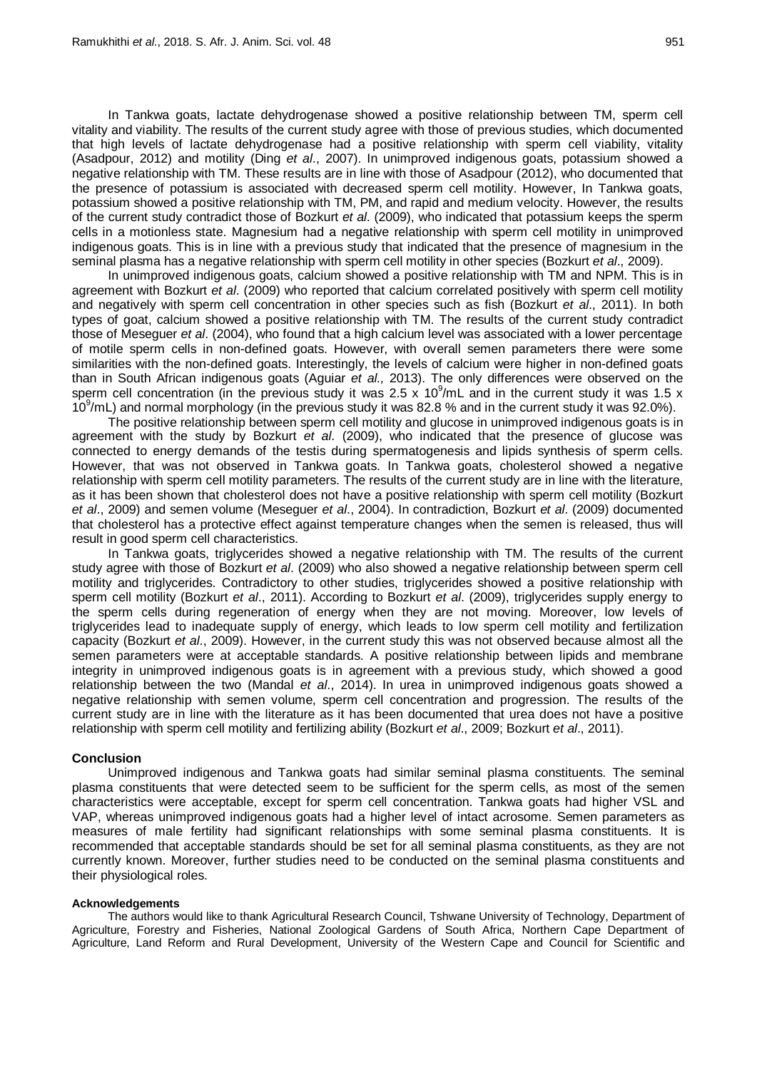In Tankwa goats, lactate dehydrogenase showed a positive relationship between TM, sperm cell vitality and viability. The results of the current study agree with those of previous studies, which documented that high levels of lactate dehydrogenase had a positive relationship with sperm cell viability, vitality (Asadpour, 2012) and motility (Ding *et al*., 2007). In unimproved indigenous goats, potassium showed a negative relationship with TM. These results are in line with those of Asadpour (2012), who documented that the presence of potassium is associated with decreased sperm cell motility. However, In Tankwa goats, potassium showed a positive relationship with TM, PM, and rapid and medium velocity. However, the results of the current study contradict those of Bozkurt *et al*. (2009), who indicated that potassium keeps the sperm cells in a motionless state. Magnesium had a negative relationship with sperm cell motility in unimproved indigenous goats. This is in line with a previous study that indicated that the presence of magnesium in the seminal plasma has a negative relationship with sperm cell motility in other species (Bozkurt *et al*., 2009).

In unimproved indigenous goats, calcium showed a positive relationship with TM and NPM. This is in agreement with Bozkurt *et al*. (2009) who reported that calcium correlated positively with sperm cell motility and negatively with sperm cell concentration in other species such as fish (Bozkurt *et al*., 2011). In both types of goat, calcium showed a positive relationship with TM. The results of the current study contradict those of Meseguer *et al*. (2004), who found that a high calcium level was associated with a lower percentage of motile sperm cells in non-defined goats. However, with overall semen parameters there were some similarities with the non-defined goats. Interestingly, the levels of calcium were higher in non-defined goats than in South African indigenous goats (Aguiar *et al.,* 2013). The only differences were observed on the sperm cell concentration (in the previous study it was 2.5 x  $10^9$ /mL and in the current study it was 1.5 x 10<sup>9</sup>/mL) and normal morphology (in the previous study it was 82.8 % and in the current study it was 92.0%).

The positive relationship between sperm cell motility and glucose in unimproved indigenous goats is in agreement with the study by Bozkurt *et al*. (2009), who indicated that the presence of glucose was connected to energy demands of the testis during spermatogenesis and lipids synthesis of sperm cells. However, that was not observed in Tankwa goats. In Tankwa goats, cholesterol showed a negative relationship with sperm cell motility parameters. The results of the current study are in line with the literature, as it has been shown that cholesterol does not have a positive relationship with sperm cell motility (Bozkurt *et al*., 2009) and semen volume (Meseguer *et al*., 2004). In contradiction, Bozkurt *et al*. (2009) documented that cholesterol has a protective effect against temperature changes when the semen is released, thus will result in good sperm cell characteristics.

In Tankwa goats, triglycerides showed a negative relationship with TM. The results of the current study agree with those of Bozkurt *et al*. (2009) who also showed a negative relationship between sperm cell motility and triglycerides. Contradictory to other studies, triglycerides showed a positive relationship with sperm cell motility (Bozkurt *et al*., 2011). According to Bozkurt *et al*. (2009), triglycerides supply energy to the sperm cells during regeneration of energy when they are not moving. Moreover, low levels of triglycerides lead to inadequate supply of energy, which leads to low sperm cell motility and fertilization capacity (Bozkurt *et al*., 2009). However, in the current study this was not observed because almost all the semen parameters were at acceptable standards. A positive relationship between lipids and membrane integrity in unimproved indigenous goats is in agreement with a previous study, which showed a good relationship between the two (Mandal *et al*., 2014). In urea in unimproved indigenous goats showed a negative relationship with semen volume, sperm cell concentration and progression. The results of the current study are in line with the literature as it has been documented that urea does not have a positive relationship with sperm cell motility and fertilizing ability (Bozkurt *et al*., 2009; Bozkurt *et al*., 2011).

### **Conclusion**

Unimproved indigenous and Tankwa goats had similar seminal plasma constituents. The seminal plasma constituents that were detected seem to be sufficient for the sperm cells, as most of the semen characteristics were acceptable, except for sperm cell concentration. Tankwa goats had higher VSL and VAP, whereas unimproved indigenous goats had a higher level of intact acrosome. Semen parameters as measures of male fertility had significant relationships with some seminal plasma constituents. It is recommended that acceptable standards should be set for all seminal plasma constituents, as they are not currently known. Moreover, further studies need to be conducted on the seminal plasma constituents and their physiological roles.

#### **Acknowledgements**

The authors would like to thank Agricultural Research Council, Tshwane University of Technology, Department of Agriculture, Forestry and Fisheries, National Zoological Gardens of South Africa, Northern Cape Department of Agriculture, Land Reform and Rural Development, University of the Western Cape and Council for Scientific and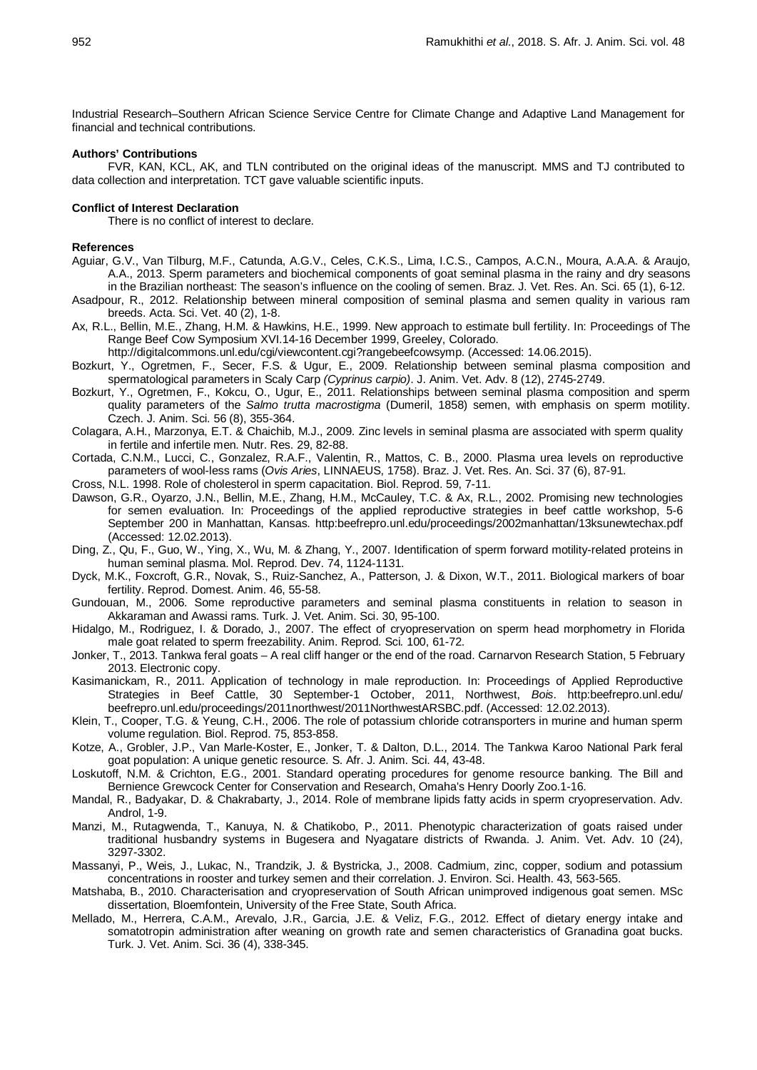Industrial Research–Southern African Science Service Centre for Climate Change and Adaptive Land Management for financial and technical contributions.

#### **Authors' Contributions**

FVR, KAN, KCL, AK, and TLN contributed on the original ideas of the manuscript. MMS and TJ contributed to data collection and interpretation. TCT gave valuable scientific inputs.

### **Conflict of Interest Declaration**

There is no conflict of interest to declare.

## **References**

- Aguiar, G.V., Van Tilburg, M.F., Catunda, A.G.V., Celes, C.K.S., Lima, I.C.S., Campos, A.C.N., Moura, A.A.A. & Araujo, A.A., 2013. Sperm parameters and biochemical components of goat seminal plasma in the rainy and dry seasons in the Brazilian northeast: The season's influence on the cooling of semen. Braz. J. Vet. Res. An. Sci. 65 (1), 6-12.
- Asadpour, R., 2012. Relationship between mineral composition of seminal plasma and semen quality in various ram breeds. Acta. Sci. Vet. 40 (2), 1-8.
- Ax, R.L., Bellin, M.E., Zhang, H.M. & Hawkins, H.E., 1999. New approach to estimate bull fertility. In: Proceedings of The Range Beef Cow Symposium XVI.14-16 December 1999, Greeley, Colorado.

http://digitalcommons.unl.edu/cgi/viewcontent.cgi?rangebeefcowsymp. (Accessed: 14.06.2015).

- Bozkurt, Y., Ogretmen, F., Secer, F.S. & Ugur, E., 2009. Relationship between seminal plasma composition and spermatological parameters in Scaly Carp *(Cyprinus carpio)*. J. Anim. Vet. Adv. 8 (12), 2745-2749.
- Bozkurt, Y., Ogretmen, F., Kokcu, O., Ugur, E., 2011. Relationships between seminal plasma composition and sperm quality parameters of the *Salmo trutta macrostigma* (Dumeril, 1858) semen, with emphasis on sperm motility. Czech. J. Anim. Sci. 56 (8), 355-364.
- Colagara, A.H., Marzonya, E.T. & Chaichib, M.J., 2009. Zinc levels in seminal plasma are associated with sperm quality in fertile and infertile men. Nutr. Res. 29, 82-88.
- Cortada, C.N.M., Lucci, C., Gonzalez, R.A.F., Valentin, R., Mattos, C. B., 2000. Plasma urea levels on reproductive parameters of wool-less rams (*Ovis Aries*, LINNAEUS, 1758). Braz. J. Vet. Res. An. Sci. 37 (6), 87-91.
- Cross, N.L. 1998. Role of cholesterol in sperm capacitation. Biol. Reprod. 59, 7-11.
- Dawson, G.R., Oyarzo, J.N., Bellin, M.E., Zhang, H.M., McCauley, T.C. & Ax, R.L., 2002. Promising new technologies for semen evaluation. In: Proceedings of the applied reproductive strategies in beef cattle workshop, 5-6 September 200 in Manhattan, Kansas. http:beefrepro.unl.edu/proceedings/2002manhattan/13ksunewtechax.pdf (Accessed: 12.02.2013).
- Ding, Z., Qu, F., Guo, W., Ying, X., Wu, M. & Zhang, Y., 2007. Identification of sperm forward motility-related proteins in human seminal plasma. Mol. Reprod. Dev. 74, 1124-1131.
- Dyck, M.K., Foxcroft, G.R., Novak, S., Ruiz-Sanchez, A., Patterson, J. & Dixon, W.T., 2011. Biological markers of boar fertility. Reprod. Domest. Anim. 46, 55-58.
- Gundouan, M., 2006. Some reproductive parameters and seminal plasma constituents in relation to season in Akkaraman and Awassi rams. Turk. J. Vet. Anim. Sci. 30, 95-100.
- Hidalgo, M., Rodriguez, I. & Dorado, J., 2007. The effect of cryopreservation on sperm head morphometry in Florida male goat related to sperm freezability. Anim. Reprod. Sci*.* 100, 61-72.
- Jonker, T., 2013. Tankwa feral goats A real cliff hanger or the end of the road. Carnarvon Research Station, 5 February 2013. Electronic copy.
- Kasimanickam, R., 2011. Application of technology in male reproduction. In: Proceedings of Applied Reproductive Strategies in Beef Cattle, 30 September-1 October, 2011, Northwest, *Bois*. http:beefrepro.unl.edu/ beefrepro.unl.edu/proceedings/2011northwest/2011NorthwestARSBC.pdf. (Accessed: 12.02.2013).
- Klein, T., Cooper, T.G. & Yeung, C.H., 2006. The role of potassium chloride cotransporters in murine and human sperm volume regulation. Biol. Reprod. 75, 853-858.
- Kotze, A., Grobler, J.P., Van Marle-Koster, E., Jonker, T. & Dalton, D.L., 2014. The Tankwa Karoo National Park feral goat population: A unique genetic resource. S. Afr. J. Anim. Sci. 44, 43-48.
- Loskutoff, N.M. & Crichton, E.G., 2001. Standard operating procedures for genome resource banking. The Bill and Bernience Grewcock Center for Conservation and Research, Omaha's Henry Doorly Zoo.1-16.
- Mandal, R., Badyakar, D. & Chakrabarty, J., 2014. Role of membrane lipids fatty acids in sperm cryopreservation. Adv. Androl, 1-9.
- Manzi, M., Rutagwenda, T., Kanuya, N. & Chatikobo, P., 2011. Phenotypic characterization of goats raised under traditional husbandry systems in Bugesera and Nyagatare districts of Rwanda. J. Anim. Vet. Adv. 10 (24), 3297-3302.
- Massanyi, P., Weis, J., Lukac, N., Trandzik, J. & Bystricka, J., 2008. Cadmium, zinc, copper, sodium and potassium concentrations in rooster and turkey semen and their correlation. J. Environ. Sci. Health. 43, 563-565.
- Matshaba, B., 2010. Characterisation and cryopreservation of South African unimproved indigenous goat semen. MSc dissertation, Bloemfontein, University of the Free State, South Africa.
- Mellado, M., Herrera, C.A.M., Arevalo, J.R., Garcia, J.E. & Veliz, F.G., 2012. Effect of dietary energy intake and somatotropin administration after weaning on growth rate and semen characteristics of Granadina goat bucks. Turk. J. Vet. Anim. Sci. 36 (4), 338-345.